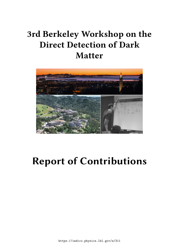# **3rd Berkeley Workshop on the Direct Detection of Dark Matter**



# **Report of Contributions**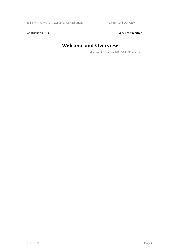Contribution ID: 0 Type: not specified

## **Welcome and Overview**

*Monday, 5 December 2016 08:30 (10 minutes)*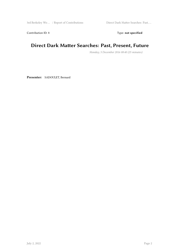Contribution ID: 1 Type: **not specified** 

#### **Direct Dark Matter Searches: Past, Present, Future**

*Monday, 5 December 2016 08:40 (25 minutes)*

**Presenter:** SADOULET, Bernard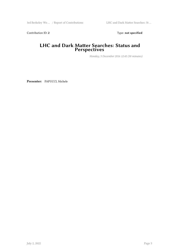Contribution ID: 2 Type: **not specified** 

#### **LHC and Dark Matter Searches: Status and Perspectives**

*Monday, 5 December 2016 12:45 (30 minutes)*

**Presenter:** PAPUCCI, Michele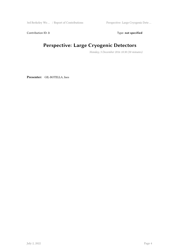3rd Berkeley Wo … / Report of Contributions Perspective: Large Cryogenic Dete …

Contribution ID: 3 Type: **not specified** 

# **Perspective: Large Cryogenic Detectors**

*Monday, 5 December 2016 10:30 (30 minutes)*

**Presenter:** GIL-BOTELLA, Ines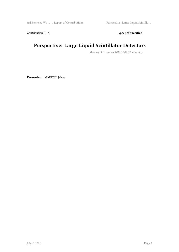Contribution ID: 4 Type: **not specified** 

#### **Perspective: Large Liquid Scintillator Detectors**

*Monday, 5 December 2016 11:00 (30 minutes)*

**Presenter:** MARICIC, Jelena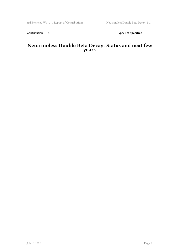Contribution ID: 5 Type: **not specified** 

#### **Neutrinoless Double Beta Decay: Status and next few years**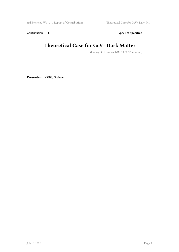Contribution ID: 6 Type: not specified

#### **Theoretical Case for GeV+ Dark Matter**

*Monday, 5 December 2016 13:15 (30 minutes)*

**Presenter:** KRIBS, Graham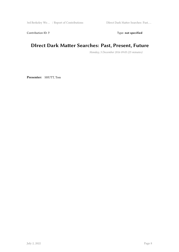Contribution ID: 7 Type: **not specified** 

#### **DIrect Dark Matter Searches: Past, Present, Future**

*Monday, 5 December 2016 09:05 (25 minutes)*

**Presenter:** SHUTT, Tom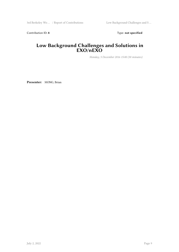Contribution ID: 8 Type: **not specified** 

#### **Low Background Challenges and Solutions in EXO/nEXO**

*Monday, 5 December 2016 15:00 (30 minutes)*

**Presenter:** MONG, Brian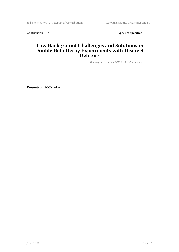Contribution ID: 9 Type: **not specified** 

#### **Low Background Challenges and Solutions in Double Beta Decay Experiments with Discreet Detctors**

*Monday, 5 December 2016 15:30 (30 minutes)*

**Presenter:** POON, Alan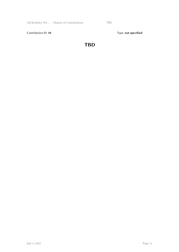Contribution ID: 10 Type: not specified

#### **TBD**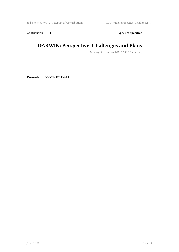Contribution ID: 11 Type: **not specified** 

#### **DARWIN: Perspective, Challenges and Plans**

*Tuesday, 6 December 2016 09:00 (30 minutes)*

**Presenter:** DECOWSKI, Patrick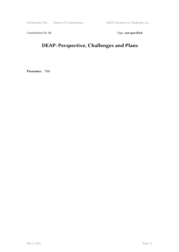Contribution ID: 12 Type: **not specified** 

# **DEAP: Perspective, Challenges and Plans**

**Presenter:** TBD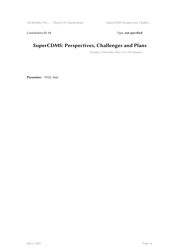Contribution ID: 13 Type: **not specified** 

#### **SuperCDMS: Perspectives, Challenges and Plans**

*Tuesday, 6 December 2016 13:15 (30 minutes)*

**Presenter:** PYLE, Matt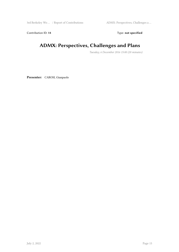Contribution ID: 14 Type: **not specified** 

#### **ADMX: Perspectives, Challenges and Plans**

*Tuesday, 6 December 2016 15:00 (20 minutes)*

**Presenter:** CAROSI, Gianpaolo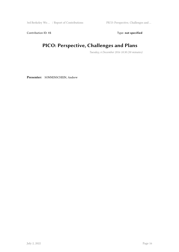3rd Berkeley Wo … / Report of Contributions PICO: Perspective, Challenges and …

Contribution ID: 15 Type: **not specified** 

#### **PICO: Perspective, Challenges and Plans**

*Tuesday, 6 December 2016 10:30 (30 minutes)*

**Presenter:** SONNENSCHEIN, Andrew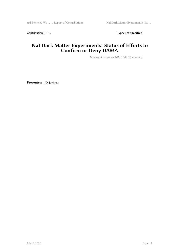Contribution ID: 16 Type: not specified

#### **NaI Dark Matter Experiments: Status of Efforts to Confirm or Deny DAMA**

*Tuesday, 6 December 2016 11:00 (30 minutes)*

**Presenter:** JO, Jayhyun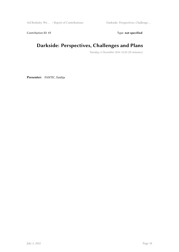Contribution ID: 17 Type: **not specified** 

#### **Darkside: Perspectives, Challenges and Plans**

*Tuesday, 6 December 2016 12:45 (30 minutes)*

**Presenter:** PANTIC, Emilija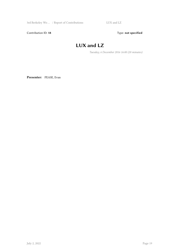Contribution ID: 18 Type: not specified

# **LUX and LZ**

*Tuesday, 6 December 2016 16:00 (20 minutes)*

**Presenter:** PEASE, Evan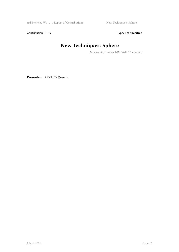Contribution ID: 19 Type: **not specified** 

# **New Techniques: Sphere**

*Tuesday, 6 December 2016 16:40 (20 minutes)*

**Presenter:** ARNAUD, Quentin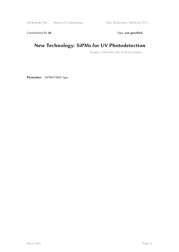Contribution ID: 20 Type: **not specified** 

#### **New Technology: SiPMs for UV Photodetection**

*Tuesday, 6 December 2016 15:40 (20 minutes)*

**Presenter:** OSTROVSKIY, Igor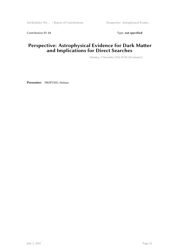Contribution ID: 21 Type: **not specified** 

#### **Perspective: Astrophysical Evidence for Dark Matter and Implications for Direct Searches**

*Monday, 5 December 2016 09:30 (30 minutes)*

**Presenter:** PROFUMO, Stefano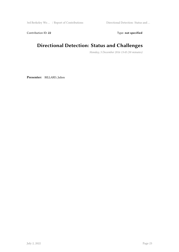Contribution ID: 22 Type: **not specified** 

# **Directional Detection: Status and Challenges**

*Monday, 5 December 2016 13:45 (30 minutes)*

**Presenter:** BILLARD, Julien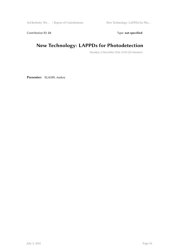Contribution ID: 23 Type: **not specified** 

#### **New Technology: LAPPDs for Photodetection**

*Tuesday, 6 December 2016 15:20 (20 minutes)*

**Presenter:** ELAGIN, Andrey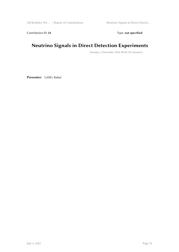Contribution ID: 24 Type: **not specified** 

#### **Neutrino Signals in Direct Detection Experiments**

*Tuesday, 6 December 2016 08:30 (30 minutes)*

**Presenter:** LANG, Rafael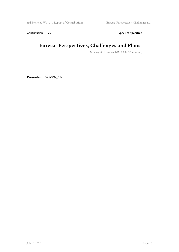3rd Berkeley Wo … / Report of Contributions Eureca: Perspectives, Challenges a …

Contribution ID: 25 Type: **not specified** 

#### **Eureca: Perspectives, Challenges and Plans**

*Tuesday, 6 December 2016 09:30 (30 minutes)*

**Presenter:** GASCON, Jules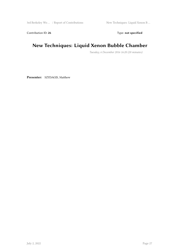Contribution ID: 26 Type: **not specified** 

#### **New Techniques: Liquid Xenon Bubble Chamber**

*Tuesday, 6 December 2016 16:20 (20 minutes)*

**Presenter:** SZYDAGIS, Matthew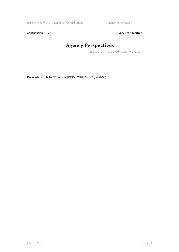3rd Berkeley Wo ... / Report of Contributions Agency Perspectives

Contribution ID: 27 Type: **not specified** 

# **Agency Perspectives**

*Monday, 5 December 2016 16:00 (30 minutes)*

**Presenters:** BHATTI, Anwar (DOE); WHITMORE, Jim (NSF)